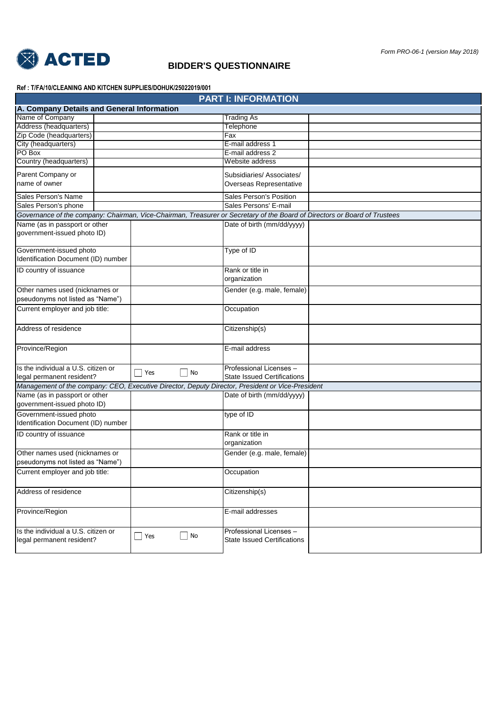

## **BIDDER'S QUESTIONNAIRE**

**Ref : T/FA/10/CLEANING AND KITCHEN SUPPLIES/DOHUK/25022019/001**

|                                            |  |            |           | <b>PART I: INFORMATION</b>                                                                       |                                                                                                                           |
|--------------------------------------------|--|------------|-----------|--------------------------------------------------------------------------------------------------|---------------------------------------------------------------------------------------------------------------------------|
| A. Company Details and General Information |  |            |           |                                                                                                  |                                                                                                                           |
| Name of Company                            |  |            |           | <b>Trading As</b>                                                                                |                                                                                                                           |
| Address (headquarters)                     |  |            |           | Telephone                                                                                        |                                                                                                                           |
| Zip Code (headquarters)                    |  |            |           | Fax                                                                                              |                                                                                                                           |
| City (headquarters)                        |  |            |           | E-mail address 1                                                                                 |                                                                                                                           |
| PO Box                                     |  |            |           | E-mail address 2                                                                                 |                                                                                                                           |
| Country (headquarters)                     |  |            |           | Website address                                                                                  |                                                                                                                           |
| Parent Company or                          |  |            |           | Subsidiaries/Associates/                                                                         |                                                                                                                           |
| name of owner                              |  |            |           | Overseas Representative                                                                          |                                                                                                                           |
|                                            |  |            |           |                                                                                                  |                                                                                                                           |
| Sales Person's Name                        |  |            |           | Sales Person's Position                                                                          |                                                                                                                           |
| Sales Person's phone                       |  |            |           | Sales Persons' E-mail                                                                            |                                                                                                                           |
|                                            |  |            |           |                                                                                                  | Governance of the company: Chairman, Vice-Chairman, Treasurer or Secretary of the Board of Directors or Board of Trustees |
| Name (as in passport or other              |  |            |           | Date of birth (mm/dd/yyyy)                                                                       |                                                                                                                           |
| government-issued photo ID)                |  |            |           |                                                                                                  |                                                                                                                           |
|                                            |  |            |           |                                                                                                  |                                                                                                                           |
| Government-issued photo                    |  |            |           | Type of ID                                                                                       |                                                                                                                           |
| Identification Document (ID) number        |  |            |           |                                                                                                  |                                                                                                                           |
| ID country of issuance                     |  |            |           | Rank or title in                                                                                 |                                                                                                                           |
|                                            |  |            |           | organization                                                                                     |                                                                                                                           |
| Other names used (nicknames or             |  |            |           | Gender (e.g. male, female)                                                                       |                                                                                                                           |
| pseudonyms not listed as "Name")           |  |            |           |                                                                                                  |                                                                                                                           |
| Current employer and job title:            |  |            |           | Occupation                                                                                       |                                                                                                                           |
|                                            |  |            |           |                                                                                                  |                                                                                                                           |
| Address of residence                       |  |            |           | Citizenship(s)                                                                                   |                                                                                                                           |
|                                            |  |            |           |                                                                                                  |                                                                                                                           |
| Province/Region                            |  |            |           | E-mail address                                                                                   |                                                                                                                           |
|                                            |  |            |           |                                                                                                  |                                                                                                                           |
|                                            |  |            |           |                                                                                                  |                                                                                                                           |
| Is the individual a U.S. citizen or        |  | $\Box$ Yes | No        | Professional Licenses -                                                                          |                                                                                                                           |
| legal permanent resident?                  |  |            |           | <b>State Issued Certifications</b>                                                               |                                                                                                                           |
|                                            |  |            |           | Management of the company: CEO, Executive Director, Deputy Director, President or Vice-President |                                                                                                                           |
| Name (as in passport or other              |  |            |           | Date of birth (mm/dd/yyyy)                                                                       |                                                                                                                           |
| government-issued photo ID)                |  |            |           |                                                                                                  |                                                                                                                           |
| Government-issued photo                    |  |            |           | type of ID                                                                                       |                                                                                                                           |
| Identification Document (ID) number        |  |            |           |                                                                                                  |                                                                                                                           |
| ID country of issuance                     |  |            |           | Rank or title in                                                                                 |                                                                                                                           |
|                                            |  |            |           | organization                                                                                     |                                                                                                                           |
| Other names used (nicknames or             |  |            |           | Gender (e.g. male, female)                                                                       |                                                                                                                           |
| pseudonyms not listed as "Name")           |  |            |           |                                                                                                  |                                                                                                                           |
| Current employer and job title:            |  |            |           | Occupation                                                                                       |                                                                                                                           |
|                                            |  |            |           |                                                                                                  |                                                                                                                           |
| Address of residence                       |  |            |           | Citizenship(s)                                                                                   |                                                                                                                           |
|                                            |  |            |           |                                                                                                  |                                                                                                                           |
| Province/Region                            |  |            |           | E-mail addresses                                                                                 |                                                                                                                           |
|                                            |  |            |           |                                                                                                  |                                                                                                                           |
|                                            |  |            |           |                                                                                                  |                                                                                                                           |
| Is the individual a U.S. citizen or        |  | $\Box$ Yes | <b>No</b> | Professional Licenses -                                                                          |                                                                                                                           |
| legal permanent resident?                  |  |            |           | <b>State Issued Certifications</b>                                                               |                                                                                                                           |
|                                            |  |            |           |                                                                                                  |                                                                                                                           |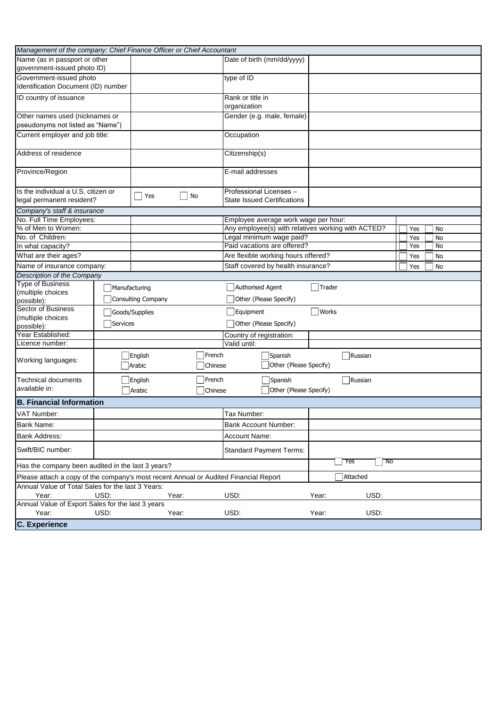| Management of the company: Chief Finance Officer or Chief Accountant                 |               |                          |                   |                                      |  |                                                                 |           |  |  |
|--------------------------------------------------------------------------------------|---------------|--------------------------|-------------------|--------------------------------------|--|-----------------------------------------------------------------|-----------|--|--|
| Name (as in passport or other                                                        |               |                          |                   | Date of birth (mm/dd/yyyy)           |  |                                                                 |           |  |  |
| government-issued photo ID)                                                          |               |                          |                   |                                      |  |                                                                 |           |  |  |
| Government-issued photo                                                              |               |                          |                   | type of ID                           |  |                                                                 |           |  |  |
| Identification Document (ID) number                                                  |               |                          |                   |                                      |  |                                                                 |           |  |  |
| ID country of issuance                                                               |               |                          |                   | Rank or title in                     |  |                                                                 |           |  |  |
|                                                                                      |               |                          |                   | organization                         |  |                                                                 |           |  |  |
| Other names used (nicknames or                                                       |               |                          |                   | Gender (e.g. male, female)           |  |                                                                 |           |  |  |
| pseudonyms not listed as "Name")                                                     |               |                          |                   |                                      |  |                                                                 |           |  |  |
| Current employer and job title:                                                      |               |                          |                   | Occupation                           |  |                                                                 |           |  |  |
| Address of residence                                                                 |               |                          |                   | Citizenship(s)                       |  |                                                                 |           |  |  |
| Province/Region                                                                      |               |                          |                   | E-mail addresses                     |  |                                                                 |           |  |  |
| Is the individual a U.S. citizen or                                                  |               |                          |                   | Professional Licenses -              |  |                                                                 |           |  |  |
| legal permanent resident?                                                            |               | Yes                      | No                | <b>State Issued Certifications</b>   |  |                                                                 |           |  |  |
| Company's staff & insurance                                                          |               |                          |                   |                                      |  |                                                                 |           |  |  |
| No. Full Time Employees:                                                             |               |                          |                   | Employee average work wage per hour: |  |                                                                 |           |  |  |
| % of Men to Women:                                                                   |               |                          |                   |                                      |  | Any employee(s) with relatives working with ACTED?<br>No<br>Yes |           |  |  |
| No. of Children:                                                                     |               |                          |                   | Legal minimum wage paid?             |  | No<br>Yes                                                       |           |  |  |
| In what capacity?                                                                    |               |                          |                   | Paid vacations are offered?          |  |                                                                 | Yes<br>No |  |  |
| What are their ages?                                                                 |               |                          |                   | Are flexible working hours offered?  |  |                                                                 | Yes<br>No |  |  |
| Name of insurance company:                                                           |               |                          |                   | Staff covered by health insurance?   |  |                                                                 | No<br>Yes |  |  |
| Description of the Company                                                           |               |                          |                   |                                      |  |                                                                 |           |  |  |
| <b>Type of Business</b>                                                              | Manufacturing |                          |                   | Authorised Agent                     |  | Trader                                                          |           |  |  |
| (multiple choices<br>possible):                                                      |               | Consulting Company       |                   | Other (Please Specify)               |  |                                                                 |           |  |  |
| Sector of Business                                                                   |               |                          |                   |                                      |  | Works                                                           |           |  |  |
| (multiple choices                                                                    |               | Goods/Supplies           |                   | Equipment                            |  |                                                                 |           |  |  |
| possible):                                                                           | Services      |                          |                   | Other (Please Specify)               |  |                                                                 |           |  |  |
| Year Established:                                                                    |               |                          |                   | Country of registration:             |  |                                                                 |           |  |  |
| Licence number:                                                                      |               |                          |                   | Valid until:                         |  |                                                                 |           |  |  |
| Working languages:                                                                   |               | <b>English</b><br>Arabic | French<br>Chinese | Spanish                              |  | Russian<br>Other (Please Specify)                               |           |  |  |
| <b>Technical documents</b>                                                           |               | English                  | French            | Spanish                              |  | $\neg$ Russian                                                  |           |  |  |
| available in:                                                                        |               | <b>Arabic</b>            | Chinese           | Other (Please Specify)               |  |                                                                 |           |  |  |
| <b>B. Financial Information</b>                                                      |               |                          |                   |                                      |  |                                                                 |           |  |  |
| VAT Number:                                                                          |               |                          |                   | Tax Number:                          |  |                                                                 |           |  |  |
| <b>Bank Name:</b>                                                                    |               |                          |                   | <b>Bank Account Number:</b>          |  |                                                                 |           |  |  |
| <b>Bank Address:</b>                                                                 |               |                          |                   | <b>Account Name:</b>                 |  |                                                                 |           |  |  |
|                                                                                      |               |                          |                   |                                      |  |                                                                 |           |  |  |
| Swift/BIC number:                                                                    |               |                          |                   | <b>Standard Payment Terms:</b>       |  | Yes<br>- No                                                     |           |  |  |
| Has the company been audited in the last 3 years?                                    |               |                          |                   |                                      |  |                                                                 |           |  |  |
| Please attach a copy of the company's most recent Annual or Audited Financial Report |               |                          |                   |                                      |  | Attached                                                        |           |  |  |
| Annual Value of Total Sales for the last 3 Years:                                    |               |                          |                   |                                      |  |                                                                 |           |  |  |
| Year:<br>Annual Value of Export Sales for the last 3 years                           | USD:          | Year:                    |                   | USD:                                 |  | USD:<br>Year:                                                   |           |  |  |
| Year:                                                                                | USD:          | Year:                    |                   | USD:                                 |  | Year:<br>USD:                                                   |           |  |  |
| <b>C. Experience</b>                                                                 |               |                          |                   |                                      |  |                                                                 |           |  |  |
|                                                                                      |               |                          |                   |                                      |  |                                                                 |           |  |  |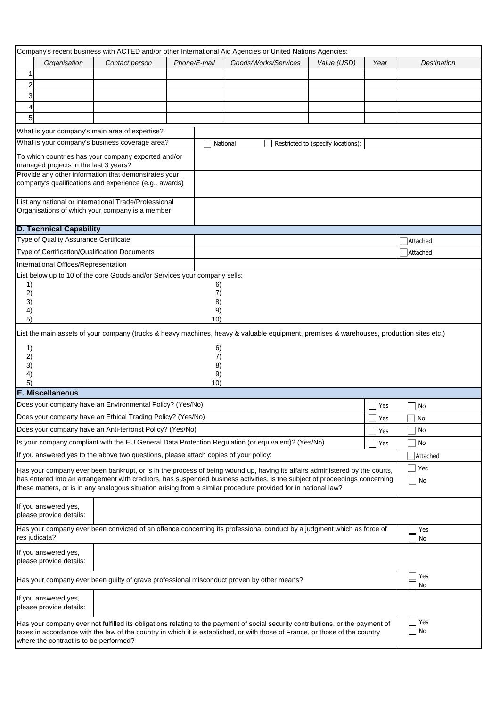|                      |                                                 |                                                                                      |              | Company's recent business with ACTED and/or other International Aid Agencies or United Nations Agencies:                                                                                                                                                                                                                                                                     |                                    |      |             |
|----------------------|-------------------------------------------------|--------------------------------------------------------------------------------------|--------------|------------------------------------------------------------------------------------------------------------------------------------------------------------------------------------------------------------------------------------------------------------------------------------------------------------------------------------------------------------------------------|------------------------------------|------|-------------|
|                      | Organisation                                    | Contact person                                                                       | Phone/E-mail | Goods/Works/Services                                                                                                                                                                                                                                                                                                                                                         | Value (USD)                        | Year | Destination |
| 1.                   |                                                 |                                                                                      |              |                                                                                                                                                                                                                                                                                                                                                                              |                                    |      |             |
| $\overline{2}$       |                                                 |                                                                                      |              |                                                                                                                                                                                                                                                                                                                                                                              |                                    |      |             |
| 3                    |                                                 |                                                                                      |              |                                                                                                                                                                                                                                                                                                                                                                              |                                    |      |             |
| 4                    |                                                 |                                                                                      |              |                                                                                                                                                                                                                                                                                                                                                                              |                                    |      |             |
| 5                    |                                                 |                                                                                      |              |                                                                                                                                                                                                                                                                                                                                                                              |                                    |      |             |
|                      |                                                 | What is your company's main area of expertise?                                       |              |                                                                                                                                                                                                                                                                                                                                                                              |                                    |      |             |
|                      |                                                 | What is your company's business coverage area?                                       |              | National                                                                                                                                                                                                                                                                                                                                                                     | Restricted to (specify locations): |      |             |
|                      | managed projects in the last 3 years?           | To which countries has your company exported and/or                                  |              |                                                                                                                                                                                                                                                                                                                                                                              |                                    |      |             |
|                      |                                                 | Provide any other information that demonstrates your                                 |              |                                                                                                                                                                                                                                                                                                                                                                              |                                    |      |             |
|                      |                                                 | company's qualifications and experience (e.g awards)                                 |              |                                                                                                                                                                                                                                                                                                                                                                              |                                    |      |             |
|                      |                                                 | List any national or international Trade/Professional                                |              |                                                                                                                                                                                                                                                                                                                                                                              |                                    |      |             |
|                      |                                                 | Organisations of which your company is a member                                      |              |                                                                                                                                                                                                                                                                                                                                                                              |                                    |      |             |
|                      | <b>D. Technical Capability</b>                  |                                                                                      |              |                                                                                                                                                                                                                                                                                                                                                                              |                                    |      |             |
|                      | Type of Quality Assurance Certificate           |                                                                                      |              |                                                                                                                                                                                                                                                                                                                                                                              |                                    |      | Attached    |
|                      |                                                 | Type of Certification/Qualification Documents                                        |              |                                                                                                                                                                                                                                                                                                                                                                              |                                    |      | Attached    |
|                      | International Offices/Representation            |                                                                                      |              |                                                                                                                                                                                                                                                                                                                                                                              |                                    |      |             |
|                      |                                                 | List below up to 10 of the core Goods and/or Services your company sells:            |              |                                                                                                                                                                                                                                                                                                                                                                              |                                    |      |             |
| 1)                   |                                                 |                                                                                      |              | 6)                                                                                                                                                                                                                                                                                                                                                                           |                                    |      |             |
| 2)                   |                                                 |                                                                                      |              | 7)                                                                                                                                                                                                                                                                                                                                                                           |                                    |      |             |
| 3)<br>4)             |                                                 |                                                                                      |              | 8)<br>9)                                                                                                                                                                                                                                                                                                                                                                     |                                    |      |             |
| 5)                   |                                                 |                                                                                      | 10)          |                                                                                                                                                                                                                                                                                                                                                                              |                                    |      |             |
| 1)<br>2)<br>3)<br>4) |                                                 |                                                                                      |              | List the main assets of your company (trucks & heavy machines, heavy & valuable equipment, premises & warehouses, production sites etc.)<br>6)<br>7)<br>8)<br>9)                                                                                                                                                                                                             |                                    |      |             |
| 5)                   | <b>E. Miscellaneous</b>                         |                                                                                      | 10)          |                                                                                                                                                                                                                                                                                                                                                                              |                                    |      |             |
|                      |                                                 | Does your company have an Environmental Policy? (Yes/No)                             |              |                                                                                                                                                                                                                                                                                                                                                                              |                                    | Yes  | No          |
|                      |                                                 | Does your company have an Ethical Trading Policy? (Yes/No)                           |              |                                                                                                                                                                                                                                                                                                                                                                              |                                    | Yes  | No          |
|                      |                                                 | Does your company have an Anti-terrorist Policy? (Yes/No)                            |              |                                                                                                                                                                                                                                                                                                                                                                              |                                    |      | No          |
|                      |                                                 |                                                                                      |              | Is your company compliant with the EU General Data Protection Regulation (or equivalent)? (Yes/No)                                                                                                                                                                                                                                                                           |                                    | Yes  |             |
|                      |                                                 |                                                                                      |              |                                                                                                                                                                                                                                                                                                                                                                              |                                    | Yes  | No          |
|                      |                                                 | If you answered yes to the above two questions, please attach copies of your policy: |              |                                                                                                                                                                                                                                                                                                                                                                              |                                    |      | Attached    |
|                      |                                                 |                                                                                      |              | Has your company ever been bankrupt, or is in the process of being wound up, having its affairs administered by the courts,<br>has entered into an arrangement with creditors, has suspended business activities, is the subject of proceedings concerning<br>these matters, or is in any analogous situation arising from a similar procedure provided for in national law? |                                    |      | Yes<br>No   |
|                      | If you answered yes,<br>please provide details: |                                                                                      |              |                                                                                                                                                                                                                                                                                                                                                                              |                                    |      |             |
|                      | res judicata?                                   |                                                                                      |              | Has your company ever been convicted of an offence concerning its professional conduct by a judgment which as force of                                                                                                                                                                                                                                                       |                                    |      | Yes<br>No   |
|                      | If you answered yes,<br>please provide details: |                                                                                      |              |                                                                                                                                                                                                                                                                                                                                                                              |                                    |      |             |
|                      |                                                 |                                                                                      |              | Has your company ever been guilty of grave professional misconduct proven by other means?                                                                                                                                                                                                                                                                                    |                                    |      | Yes<br>No   |
|                      | If you answered yes,<br>please provide details: |                                                                                      |              |                                                                                                                                                                                                                                                                                                                                                                              |                                    |      |             |
|                      | where the contract is to be performed?          |                                                                                      |              | Has your company ever not fulfilled its obligations relating to the payment of social security contributions, or the payment of<br>taxes in accordance with the law of the country in which it is established, or with those of France, or those of the country                                                                                                              |                                    |      | Yes<br>No   |